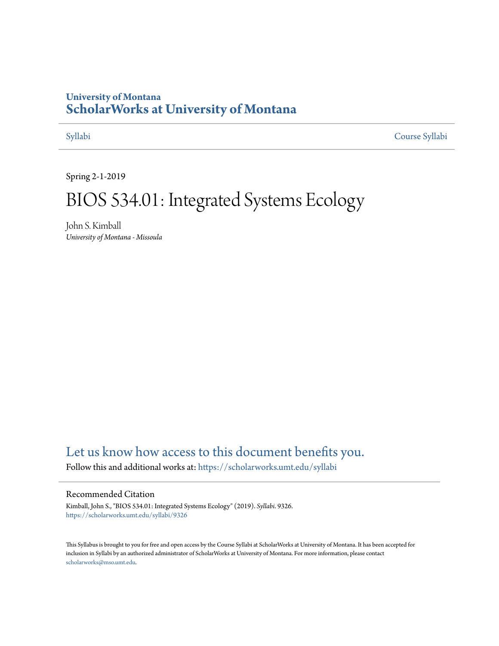## **University of Montana [ScholarWorks at University of Montana](https://scholarworks.umt.edu?utm_source=scholarworks.umt.edu%2Fsyllabi%2F9326&utm_medium=PDF&utm_campaign=PDFCoverPages)**

[Syllabi](https://scholarworks.umt.edu/syllabi?utm_source=scholarworks.umt.edu%2Fsyllabi%2F9326&utm_medium=PDF&utm_campaign=PDFCoverPages) [Course Syllabi](https://scholarworks.umt.edu/course_syllabi?utm_source=scholarworks.umt.edu%2Fsyllabi%2F9326&utm_medium=PDF&utm_campaign=PDFCoverPages)

Spring 2-1-2019

# BIOS 534.01: Integrated Systems Ecology

John S. Kimball *University of Montana - Missoula*

# [Let us know how access to this document benefits you.](https://goo.gl/forms/s2rGfXOLzz71qgsB2)

Follow this and additional works at: [https://scholarworks.umt.edu/syllabi](https://scholarworks.umt.edu/syllabi?utm_source=scholarworks.umt.edu%2Fsyllabi%2F9326&utm_medium=PDF&utm_campaign=PDFCoverPages)

#### Recommended Citation

Kimball, John S., "BIOS 534.01: Integrated Systems Ecology" (2019). *Syllabi*. 9326. [https://scholarworks.umt.edu/syllabi/9326](https://scholarworks.umt.edu/syllabi/9326?utm_source=scholarworks.umt.edu%2Fsyllabi%2F9326&utm_medium=PDF&utm_campaign=PDFCoverPages)

This Syllabus is brought to you for free and open access by the Course Syllabi at ScholarWorks at University of Montana. It has been accepted for inclusion in Syllabi by an authorized administrator of ScholarWorks at University of Montana. For more information, please contact [scholarworks@mso.umt.edu](mailto:scholarworks@mso.umt.edu).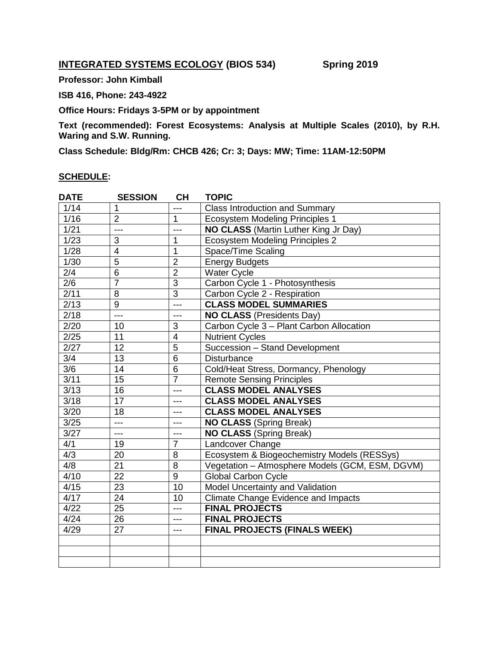### **INTEGRATED SYSTEMS ECOLOGY (BIOS 534)** Spring 2019

**Professor: John Kimball**

**ISB 416, Phone: 243-4922**

**Office Hours: Fridays 3-5PM or by appointment**

**Text (recommended): Forest Ecosystems: Analysis at Multiple Scales (2010), by R.H. Waring and S.W. Running.** 

**Class Schedule: Bldg/Rm: CHCB 426; Cr: 3; Days: MW; Time: 11AM-12:50PM** 

#### **SCHEDULE:**

| <b>DATE</b>       | <b>SESSION</b>  | <b>CH</b>       | <b>TOPIC</b>                                    |  |  |
|-------------------|-----------------|-----------------|-------------------------------------------------|--|--|
| 1/14              | 1               | ---             | <b>Class Introduction and Summary</b>           |  |  |
| 1/16              | $\overline{2}$  | $\mathbf{1}$    | <b>Ecosystem Modeling Principles 1</b>          |  |  |
| 1/21              | ---             | $---$           | NO CLASS (Martin Luther King Jr Day)            |  |  |
| 1/23              | 3               | 1               | Ecosystem Modeling Principles 2                 |  |  |
| 1/28              | $\overline{4}$  | $\overline{1}$  | Space/Time Scaling                              |  |  |
| 1/30              | $\overline{5}$  | $\overline{2}$  | <b>Energy Budgets</b>                           |  |  |
| 2/4               | 6               | $\overline{2}$  | <b>Water Cycle</b>                              |  |  |
| 2/6               | $\overline{7}$  | $\overline{3}$  | Carbon Cycle 1 - Photosynthesis                 |  |  |
| 2/11              | 8               | $\overline{3}$  | Carbon Cycle 2 - Respiration                    |  |  |
| 2/13              | 9               | $---$           | <b>CLASS MODEL SUMMARIES</b>                    |  |  |
| $\sqrt{2/18}$     | ---             | $---$           | <b>NO CLASS (Presidents Day)</b>                |  |  |
| 2/20              | 10              | 3               | Carbon Cycle 3 - Plant Carbon Allocation        |  |  |
| 2/25              | 11              | $\overline{4}$  | <b>Nutrient Cycles</b>                          |  |  |
| 2/27              | 12              | $\overline{5}$  | Succession - Stand Development                  |  |  |
| $\overline{3/4}$  | 13              | $\overline{6}$  | <b>Disturbance</b>                              |  |  |
| 3/6               | 14              | 6               | Cold/Heat Stress, Dormancy, Phenology           |  |  |
| 3/11              | 15              | $\overline{7}$  | <b>Remote Sensing Principles</b>                |  |  |
| 3/13              | 16              | ---             | <b>CLASS MODEL ANALYSES</b>                     |  |  |
| $\overline{3/18}$ | 17              | ---             | <b>CLASS MODEL ANALYSES</b>                     |  |  |
| 3/20              | 18              | ---             | <b>CLASS MODEL ANALYSES</b>                     |  |  |
| 3/25              | $---$           | ---             | <b>NO CLASS (Spring Break)</b>                  |  |  |
| 3/27              | ---             | $---$           | <b>NO CLASS (Spring Break)</b>                  |  |  |
| 4/1               | 19              | $\overline{7}$  | Landcover Change                                |  |  |
| 4/3               | 20              | 8               | Ecosystem & Biogeochemistry Models (RESSys)     |  |  |
| 4/8               | $\overline{21}$ | $\overline{8}$  | Vegetation - Atmosphere Models (GCM, ESM, DGVM) |  |  |
| 4/10              | 22              | $\overline{9}$  | <b>Global Carbon Cycle</b>                      |  |  |
| 4/15              | 23              | $\overline{10}$ | Model Uncertainty and Validation                |  |  |
| 4/17              | 24              | 10              | <b>Climate Change Evidence and Impacts</b>      |  |  |
| 4/22              | 25              | ---             | <b>FINAL PROJECTS</b>                           |  |  |
| 4/24              | 26              | ---             | <b>FINAL PROJECTS</b>                           |  |  |
| 4/29              | 27              | ---             | <b>FINAL PROJECTS (FINALS WEEK)</b>             |  |  |
|                   |                 |                 |                                                 |  |  |
|                   |                 |                 |                                                 |  |  |
|                   |                 |                 |                                                 |  |  |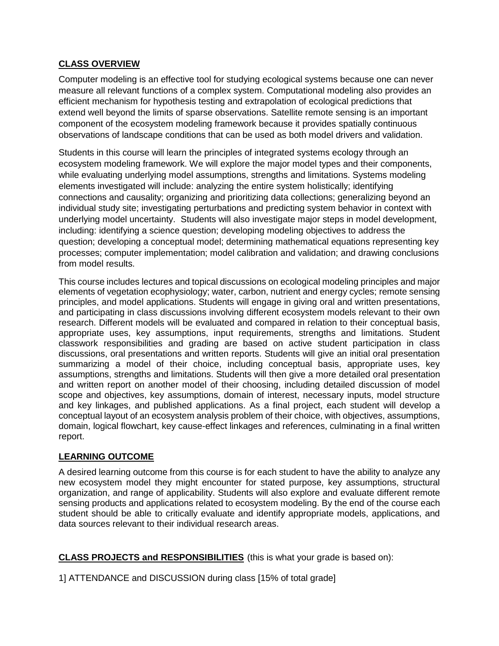#### **CLASS OVERVIEW**

Computer modeling is an effective tool for studying ecological systems because one can never measure all relevant functions of a complex system. Computational modeling also provides an efficient mechanism for hypothesis testing and extrapolation of ecological predictions that extend well beyond the limits of sparse observations. Satellite remote sensing is an important component of the ecosystem modeling framework because it provides spatially continuous observations of landscape conditions that can be used as both model drivers and validation.

Students in this course will learn the principles of integrated systems ecology through an ecosystem modeling framework. We will explore the major model types and their components, while evaluating underlying model assumptions, strengths and limitations. Systems modeling elements investigated will include: analyzing the entire system holistically; identifying connections and causality; organizing and prioritizing data collections; generalizing beyond an individual study site; investigating perturbations and predicting system behavior in context with underlying model uncertainty. Students will also investigate major steps in model development, including: identifying a science question; developing modeling objectives to address the question; developing a conceptual model; determining mathematical equations representing key processes; computer implementation; model calibration and validation; and drawing conclusions from model results.

This course includes lectures and topical discussions on ecological modeling principles and major elements of vegetation ecophysiology; water, carbon, nutrient and energy cycles; remote sensing principles, and model applications. Students will engage in giving oral and written presentations, and participating in class discussions involving different ecosystem models relevant to their own research. Different models will be evaluated and compared in relation to their conceptual basis, appropriate uses, key assumptions, input requirements, strengths and limitations. Student classwork responsibilities and grading are based on active student participation in class discussions, oral presentations and written reports. Students will give an initial oral presentation summarizing a model of their choice, including conceptual basis, appropriate uses, key assumptions, strengths and limitations. Students will then give a more detailed oral presentation and written report on another model of their choosing, including detailed discussion of model scope and objectives, key assumptions, domain of interest, necessary inputs, model structure and key linkages, and published applications. As a final project, each student will develop a conceptual layout of an ecosystem analysis problem of their choice, with objectives, assumptions, domain, logical flowchart, key cause-effect linkages and references, culminating in a final written report.

#### **LEARNING OUTCOME**

A desired learning outcome from this course is for each student to have the ability to analyze any new ecosystem model they might encounter for stated purpose, key assumptions, structural organization, and range of applicability. Students will also explore and evaluate different remote sensing products and applications related to ecosystem modeling. By the end of the course each student should be able to critically evaluate and identify appropriate models, applications, and data sources relevant to their individual research areas.

**CLASS PROJECTS and RESPONSIBILITIES** (this is what your grade is based on):

1] ATTENDANCE and DISCUSSION during class [15% of total grade]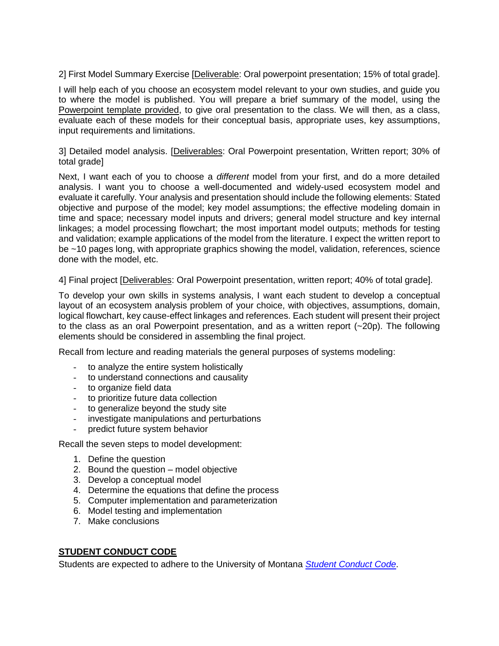2] First Model Summary Exercise [Deliverable: Oral powerpoint presentation; 15% of total grade].

I will help each of you choose an ecosystem model relevant to your own studies, and guide you to where the model is published. You will prepare a brief summary of the model, using the Powerpoint template provided, to give oral presentation to the class. We will then, as a class, evaluate each of these models for their conceptual basis, appropriate uses, key assumptions, input requirements and limitations.

#### 3] Detailed model analysis. [Deliverables: Oral Powerpoint presentation, Written report; 30% of total grade]

Next, I want each of you to choose a *different* model from your first, and do a more detailed analysis. I want you to choose a well-documented and widely-used ecosystem model and evaluate it carefully. Your analysis and presentation should include the following elements: Stated objective and purpose of the model; key model assumptions; the effective modeling domain in time and space; necessary model inputs and drivers; general model structure and key internal linkages; a model processing flowchart; the most important model outputs; methods for testing and validation; example applications of the model from the literature. I expect the written report to be ~10 pages long, with appropriate graphics showing the model, validation, references, science done with the model, etc.

4] Final project [Deliverables: Oral Powerpoint presentation, written report; 40% of total grade].

To develop your own skills in systems analysis, I want each student to develop a conceptual layout of an ecosystem analysis problem of your choice, with objectives, assumptions, domain, logical flowchart, key cause-effect linkages and references. Each student will present their project to the class as an oral Powerpoint presentation, and as a written report (~20p). The following elements should be considered in assembling the final project.

Recall from lecture and reading materials the general purposes of systems modeling:

- to analyze the entire system holistically
- to understand connections and causality
- to organize field data
- to prioritize future data collection
- to generalize beyond the study site
- investigate manipulations and perturbations
- predict future system behavior

Recall the seven steps to model development:

- 1. Define the question
- 2. Bound the question model objective
- 3. Develop a conceptual model
- 4. Determine the equations that define the process
- 5. Computer implementation and parameterization
- 6. Model testing and implementation
- 7. Make conclusions

#### **STUDENT CONDUCT CODE**

Students are expected to adhere to the University of Montana *[Student Conduct Code](http://www.umt.edu/student-affairs/dean-of-students/Student%20Conduct%20Code%20-%20FINAL%20-%208-24-18.pdf)*.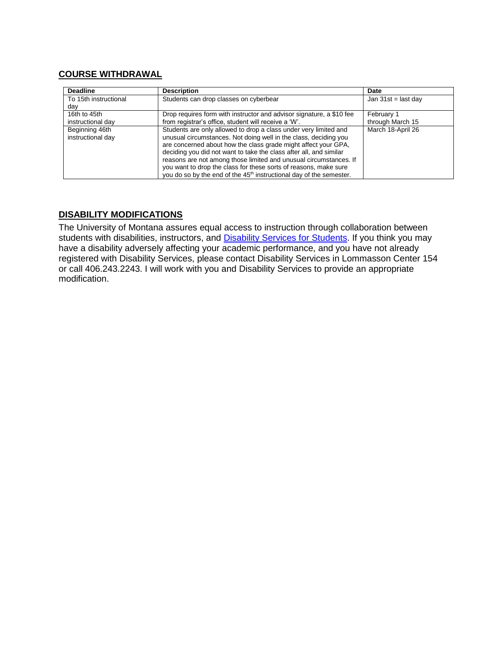#### **COURSE WITHDRAWAL**

| <b>Deadline</b>       | <b>Description</b>                                                              | Date                  |
|-----------------------|---------------------------------------------------------------------------------|-----------------------|
| To 15th instructional | Students can drop classes on cyberbear                                          | Jan $31st =$ last day |
| dav                   |                                                                                 |                       |
| 16th to 45th          | Drop requires form with instructor and advisor signature, a \$10 fee            | February 1            |
| instructional day     | from registrar's office, student will receive a 'W'.                            | through March 15      |
| Beginning 46th        | Students are only allowed to drop a class under very limited and                | March 18-April 26     |
| instructional day     | unusual circumstances. Not doing well in the class, deciding you                |                       |
|                       | are concerned about how the class grade might affect your GPA,                  |                       |
|                       | deciding you did not want to take the class after all, and similar              |                       |
|                       | reasons are not among those limited and unusual circumstances. If               |                       |
|                       | you want to drop the class for these sorts of reasons, make sure                |                       |
|                       | you do so by the end of the 45 <sup>th</sup> instructional day of the semester. |                       |

#### **DISABILITY MODIFICATIONS**

The University of Montana assures equal access to instruction through collaboration between students with disabilities, instructors, and **Disability Services for Students**. If you think you may have a disability adversely affecting your academic performance, and you have not already registered with Disability Services, please contact Disability Services in Lommasson Center 154 or call 406.243.2243. I will work with you and Disability Services to provide an appropriate modification.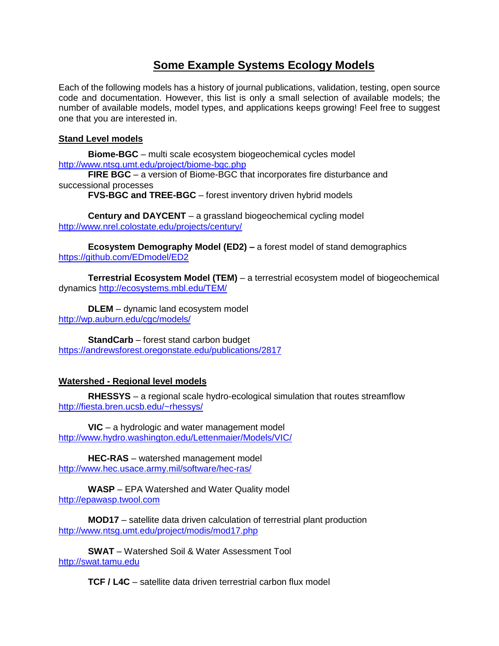# **Some Example Systems Ecology Models**

Each of the following models has a history of journal publications, validation, testing, open source code and documentation. However, this list is only a small selection of available models; the number of available models, model types, and applications keeps growing! Feel free to suggest one that you are interested in.

#### **Stand Level models**

**Biome-BGC** – multi scale ecosystem biogeochemical cycles model <http://www.ntsg.umt.edu/project/biome-bgc.php>

**FIRE BGC** – a version of Biome-BGC that incorporates fire disturbance and successional processes

**FVS-BGC and TREE-BGC** – forest inventory driven hybrid models

**Century and DAYCENT** – a grassland biogeochemical cycling model <http://www.nrel.colostate.edu/projects/century/>

**Ecosystem Demography Model (ED2) –** a forest model of stand demographics <https://github.com/EDmodel/ED2>

**Terrestrial Ecosystem Model (TEM)** – a terrestrial ecosystem model of biogeochemical dynamics <http://ecosystems.mbl.edu/TEM/>

**DLEM** – dynamic land ecosystem model <http://wp.auburn.edu/cgc/models/>

**StandCarb** – forest stand carbon budget <https://andrewsforest.oregonstate.edu/publications/2817>

#### **Watershed - Regional level models**

**RHESSYS** – a regional scale hydro-ecological simulation that routes streamflow <http://fiesta.bren.ucsb.edu/~rhessys/>

**VIC** – a hydrologic and water management model <http://www.hydro.washington.edu/Lettenmaier/Models/VIC/>

**HEC-RAS** – watershed management model <http://www.hec.usace.army.mil/software/hec-ras/>

**WASP** – EPA Watershed and Water Quality model [http://epawasp.twool.com](http://epawasp.twool.com/)

**MOD17** – satellite data driven calculation of terrestrial plant production <http://www.ntsg.umt.edu/project/modis/mod17.php>

**SWAT** – Watershed Soil & Water Assessment Tool [http://swat.tamu.edu](http://swat.tamu.edu/)

**TCF / L4C** – satellite data driven terrestrial carbon flux model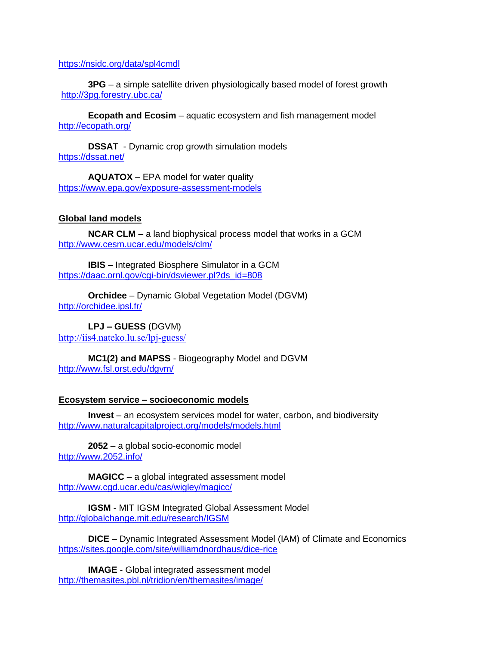#### <https://nsidc.org/data/spl4cmdl>

**3PG** – a simple satellite driven physiologically based model of forest growth <http://3pg.forestry.ubc.ca/>

**Ecopath and Ecosim** – aquatic ecosystem and fish management model <http://ecopath.org/>

**DSSAT** - Dynamic crop growth simulation models https:/[/dssat.](https://dssat.net/)net/

**AQUATOX** – EPA model for water quality <https://www.epa.gov/exposure-assessment-models>

#### **Global land models**

**NCAR CLM** – a land biophysical process model that works in a GCM <http://www.cesm.ucar.edu/models/clm/>

**IBIS** – Integrated Biosphere Simulator in a GCM [https://daac.ornl.gov/cgi-bin/dsviewer.pl?ds\\_id=808](https://daac.ornl.gov/cgi-bin/dsviewer.pl?ds_id=808)

**Orchidee** – Dynamic Global Vegetation Model (DGVM) <http://orchidee.ipsl.fr/>

**LPJ – GUESS** (DGVM) <http://iis4.nateko.lu.se/lpj-guess/>

**MC1(2) and MAPSS** - Biogeography Model and DGVM <http://www.fsl.orst.edu/dgvm/>

#### **Ecosystem service – socioeconomic models**

**Invest** – an ecosystem services model for water, carbon, and biodiversity <http://www.naturalcapitalproject.org/models/models.html>

**2052** – a global socio-economic model <http://www.2052.info/>

**MAGICC** – a global integrated assessment model <http://www.cgd.ucar.edu/cas/wigley/magicc/>

**IGSM** - MIT IGSM Integrated Global Assessment Model <http://globalchange.mit.edu/research/IGSM>

**DICE** – Dynamic Integrated Assessment Model (IAM) of Climate and Economics <https://sites.google.com/site/williamdnordhaus/dice-rice>

**IMAGE** - Global integrated assessment model <http://themasites.pbl.nl/tridion/en/themasites/image/>